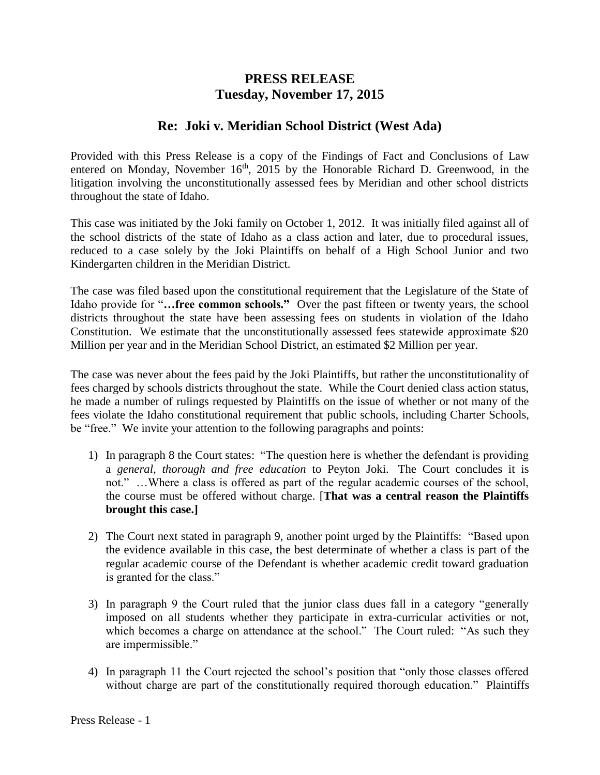## **PRESS RELEASE Tuesday, November 17, 2015**

## **Re: Joki v. Meridian School District (West Ada)**

Provided with this Press Release is a copy of the Findings of Fact and Conclusions of Law entered on Monday, November  $16<sup>th</sup>$ , 2015 by the Honorable Richard D. Greenwood, in the litigation involving the unconstitutionally assessed fees by Meridian and other school districts throughout the state of Idaho.

This case was initiated by the Joki family on October 1, 2012. It was initially filed against all of the school districts of the state of Idaho as a class action and later, due to procedural issues, reduced to a case solely by the Joki Plaintiffs on behalf of a High School Junior and two Kindergarten children in the Meridian District.

The case was filed based upon the constitutional requirement that the Legislature of the State of Idaho provide for "**…free common schools."** Over the past fifteen or twenty years, the school districts throughout the state have been assessing fees on students in violation of the Idaho Constitution. We estimate that the unconstitutionally assessed fees statewide approximate \$20 Million per year and in the Meridian School District, an estimated \$2 Million per year.

The case was never about the fees paid by the Joki Plaintiffs, but rather the unconstitutionality of fees charged by schools districts throughout the state. While the Court denied class action status, he made a number of rulings requested by Plaintiffs on the issue of whether or not many of the fees violate the Idaho constitutional requirement that public schools, including Charter Schools, be "free." We invite your attention to the following paragraphs and points:

- 1) In paragraph 8 the Court states: "The question here is whether the defendant is providing a *general, thorough and free education* to Peyton Joki. The Court concludes it is not." …Where a class is offered as part of the regular academic courses of the school, the course must be offered without charge. [**That was a central reason the Plaintiffs brought this case.]**
- 2) The Court next stated in paragraph 9, another point urged by the Plaintiffs: "Based upon the evidence available in this case, the best determinate of whether a class is part of the regular academic course of the Defendant is whether academic credit toward graduation is granted for the class."
- 3) In paragraph 9 the Court ruled that the junior class dues fall in a category "generally imposed on all students whether they participate in extra-curricular activities or not, which becomes a charge on attendance at the school." The Court ruled: "As such they are impermissible."
- 4) In paragraph 11 the Court rejected the school's position that "only those classes offered without charge are part of the constitutionally required thorough education." Plaintiffs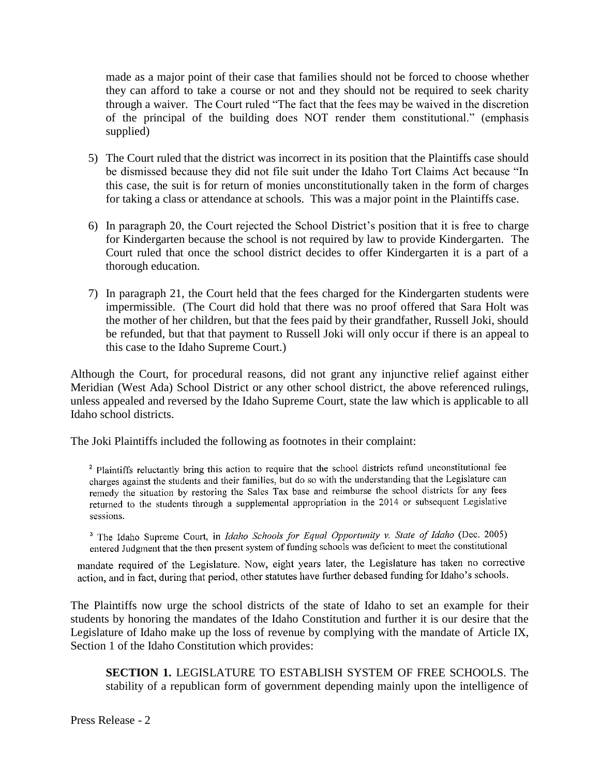made as a major point of their case that families should not be forced to choose whether they can afford to take a course or not and they should not be required to seek charity through a waiver. The Court ruled "The fact that the fees may be waived in the discretion of the principal of the building does NOT render them constitutional." (emphasis supplied)

- 5) The Court ruled that the district was incorrect in its position that the Plaintiffs case should be dismissed because they did not file suit under the Idaho Tort Claims Act because "In this case, the suit is for return of monies unconstitutionally taken in the form of charges for taking a class or attendance at schools. This was a major point in the Plaintiffs case.
- 6) In paragraph 20, the Court rejected the School District's position that it is free to charge for Kindergarten because the school is not required by law to provide Kindergarten. The Court ruled that once the school district decides to offer Kindergarten it is a part of a thorough education.
- 7) In paragraph 21, the Court held that the fees charged for the Kindergarten students were impermissible. (The Court did hold that there was no proof offered that Sara Holt was the mother of her children, but that the fees paid by their grandfather, Russell Joki, should be refunded, but that that payment to Russell Joki will only occur if there is an appeal to this case to the Idaho Supreme Court.)

Although the Court, for procedural reasons, did not grant any injunctive relief against either Meridian (West Ada) School District or any other school district, the above referenced rulings, unless appealed and reversed by the Idaho Supreme Court, state the law which is applicable to all Idaho school districts.

The Joki Plaintiffs included the following as footnotes in their complaint:

<sup>2</sup> Plaintiffs reluctantly bring this action to require that the school districts refund unconstitutional fee charges against the students and their families, but do so with the understanding that the Legislature can remedy the situation by restoring the Sales Tax base and reimburse the school districts for any fees returned to the students through a supplemental appropriation in the 2014 or subsequent Legislative sessions.

<sup>3</sup> The Idaho Supreme Court, in Idaho Schools for Equal Opportunity v. State of Idaho (Dec. 2005) entered Judgment that the then present system of funding schools was deficient to meet the constitutional

mandate required of the Legislature. Now, eight years later, the Legislature has taken no corrective action, and in fact, during that period, other statutes have further debased funding for Idaho's schools.

The Plaintiffs now urge the school districts of the state of Idaho to set an example for their students by honoring the mandates of the Idaho Constitution and further it is our desire that the Legislature of Idaho make up the loss of revenue by complying with the mandate of Article IX, Section 1 of the Idaho Constitution which provides:

**SECTION 1.** LEGISLATURE TO ESTABLISH SYSTEM OF FREE SCHOOLS. The stability of a republican form of government depending mainly upon the intelligence of